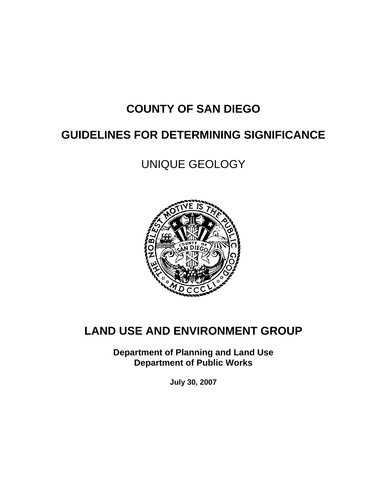# **COUNTY OF SAN DIEGO**

# **GUIDELINES FOR DETERMINING SIGNIFICANCE**

UNIQUE GEOLOGY



# **LAND USE AND ENVIRONMENT GROUP**

**Department of Planning and Land Use Department of Public Works** 

**July 30, 2007**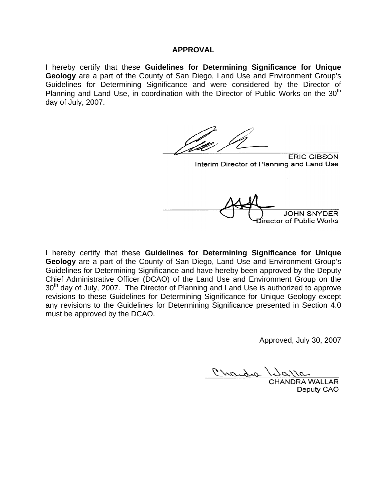#### **APPROVAL**

I hereby certify that these **Guidelines for Determining Significance for Unique Geology** are a part of the County of San Diego, Land Use and Environment Group's Guidelines for Determining Significance and were considered by the Director of Planning and Land Use, in coordination with the Director of Public Works on the  $30<sup>th</sup>$ day of July, 2007.

**ERIC GIBSON** Interim Director of Planning and Land Use Director of Public Works

I hereby certify that these **Guidelines for Determining Significance for Unique Geology** are a part of the County of San Diego, Land Use and Environment Group's Guidelines for Determining Significance and have hereby been approved by the Deputy Chief Administrative Officer (DCAO) of the Land Use and Environment Group on the  $30<sup>th</sup>$  day of July, 2007. The Director of Planning and Land Use is authorized to approve revisions to these Guidelines for Determining Significance for Unique Geology except any revisions to the Guidelines for Determining Significance presented in Section 4.0 must be approved by the DCAO.

Approved, July 30, 2007

**RA WALLAR** Deputy CAO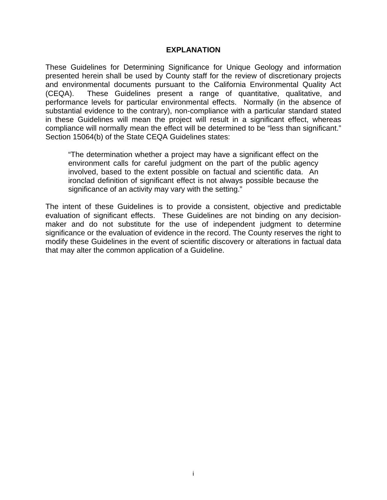#### **EXPLANATION**

These Guidelines for Determining Significance for Unique Geology and information presented herein shall be used by County staff for the review of discretionary projects and environmental documents pursuant to the California Environmental Quality Act (CEQA). These Guidelines present a range of quantitative, qualitative, and performance levels for particular environmental effects. Normally (in the absence of substantial evidence to the contrary), non-compliance with a particular standard stated in these Guidelines will mean the project will result in a significant effect, whereas compliance will normally mean the effect will be determined to be "less than significant." Section 15064(b) of the State CEQA Guidelines states:

"The determination whether a project may have a significant effect on the environment calls for careful judgment on the part of the public agency involved, based to the extent possible on factual and scientific data. An ironclad definition of significant effect is not always possible because the significance of an activity may vary with the setting."

The intent of these Guidelines is to provide a consistent, objective and predictable evaluation of significant effects. These Guidelines are not binding on any decisionmaker and do not substitute for the use of independent judgment to determine significance or the evaluation of evidence in the record. The County reserves the right to modify these Guidelines in the event of scientific discovery or alterations in factual data that may alter the common application of a Guideline.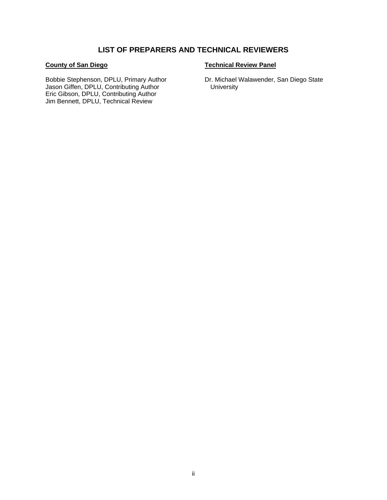## **LIST OF PREPARERS AND TECHNICAL REVIEWERS**

#### **County of San Diego**

Bobbie Stephenson, DPLU, Primary Author Jason Giffen, DPLU, Contributing Author Eric Gibson, DPLU, Contributing Author Jim Bennett, DPLU, Technical Review

#### **Technical Review Panel**

Dr. Michael Walawender, San Diego State **University**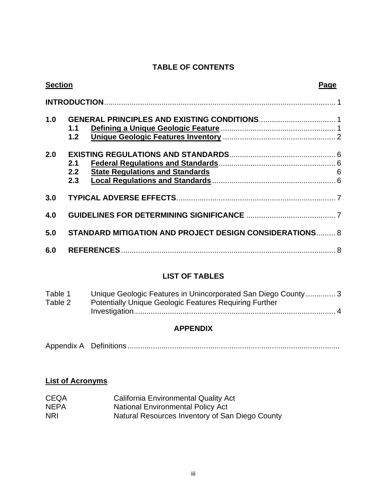# **TABLE OF CONTENTS**

| <b>Section</b> |                   |                                                         | Page           |
|----------------|-------------------|---------------------------------------------------------|----------------|
|                |                   |                                                         |                |
| 1.0            | 1.1<br>1.2        |                                                         |                |
| 2.0            | 2.1<br>2.2<br>2.3 | <b>State Regulations and Standards</b>                  | $\overline{6}$ |
| 3.0            |                   |                                                         |                |
| 4.0            |                   |                                                         |                |
| 5.0            |                   | STANDARD MITIGATION AND PROJECT DESIGN CONSIDERATIONS 8 |                |
| 6.0            |                   |                                                         |                |
|                |                   |                                                         |                |

# **LIST OF TABLES**

| Table 1 | Unique Geologic Features in Unincorporated San Diego County 3 |
|---------|---------------------------------------------------------------|
| Table 2 | <b>Potentially Unique Geologic Features Requiring Further</b> |
|         |                                                               |

# **APPENDIX**

|--|--|

# **List of Acronyms**

| <b>CEQA</b> | <b>California Environmental Quality Act</b>     |
|-------------|-------------------------------------------------|
| <b>NEPA</b> | <b>National Environmental Policy Act</b>        |
| <b>NRI</b>  | Natural Resources Inventory of San Diego County |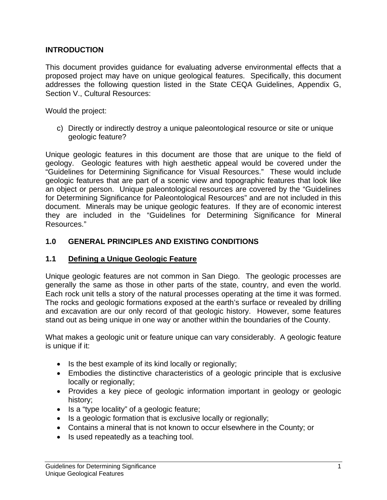### **INTRODUCTION**

This document provides guidance for evaluating adverse environmental effects that a proposed project may have on unique geological features. Specifically, this document addresses the following question listed in the State CEQA Guidelines, Appendix G, Section V., Cultural Resources:

Would the project:

c) Directly or indirectly destroy a unique paleontological resource or site or unique geologic feature?

Unique geologic features in this document are those that are unique to the field of geology. Geologic features with high aesthetic appeal would be covered under the "Guidelines for Determining Significance for Visual Resources." These would include geologic features that are part of a scenic view and topographic features that look like an object or person. Unique paleontological resources are covered by the "Guidelines for Determining Significance for Paleontological Resources" and are not included in this document. Minerals may be unique geologic features. If they are of economic interest they are included in the "Guidelines for Determining Significance for Mineral Resources."

## **1.0 GENERAL PRINCIPLES AND EXISTING CONDITIONS**

#### **1.1 Defining a Unique Geologic Feature**

Unique geologic features are not common in San Diego. The geologic processes are generally the same as those in other parts of the state, country, and even the world. Each rock unit tells a story of the natural processes operating at the time it was formed. The rocks and geologic formations exposed at the earth's surface or revealed by drilling and excavation are our only record of that geologic history. However, some features stand out as being unique in one way or another within the boundaries of the County.

What makes a geologic unit or feature unique can vary considerably. A geologic feature is unique if it:

- Is the best example of its kind locally or regionally;
- Embodies the distinctive characteristics of a geologic principle that is exclusive locally or regionally;
- Provides a key piece of geologic information important in geology or geologic history;
- Is a "type locality" of a geologic feature;
- Is a geologic formation that is exclusive locally or regionally;
- Contains a mineral that is not known to occur elsewhere in the County; or
- Is used repeatedly as a teaching tool.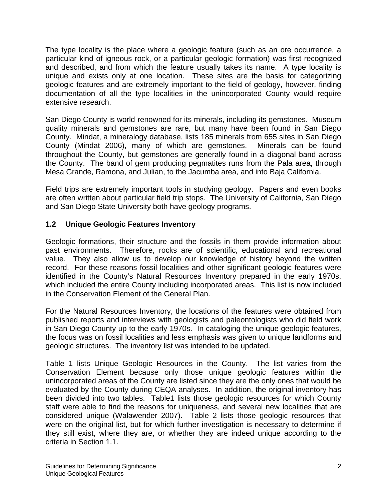The type locality is the place where a geologic feature (such as an ore occurrence, a particular kind of igneous rock, or a particular geologic formation) was first recognized and described, and from which the feature usually takes its name. A type locality is unique and exists only at one location. These sites are the basis for categorizing geologic features and are extremely important to the field of geology, however, finding documentation of all the type localities in the unincorporated County would require extensive research.

San Diego County is world-renowned for its minerals, including its gemstones. Museum quality minerals and gemstones are rare, but many have been found in San Diego County. Mindat, a mineralogy database, lists 185 minerals from 655 sites in San Diego County (Mindat 2006), many of which are gemstones. Minerals can be found throughout the County, but gemstones are generally found in a diagonal band across the County. The band of gem producing pegmatites runs from the Pala area, through Mesa Grande, Ramona, and Julian, to the Jacumba area, and into Baja California.

Field trips are extremely important tools in studying geology. Papers and even books are often written about particular field trip stops. The University of California, San Diego and San Diego State University both have geology programs.

# **1.2 Unique Geologic Features Inventory**

Geologic formations, their structure and the fossils in them provide information about past environments. Therefore, rocks are of scientific, educational and recreational value. They also allow us to develop our knowledge of history beyond the written record. For these reasons fossil localities and other significant geologic features were identified in the County's Natural Resources Inventory prepared in the early 1970s, which included the entire County including incorporated areas. This list is now included in the Conservation Element of the General Plan.

For the Natural Resources Inventory, the locations of the features were obtained from published reports and interviews with geologists and paleontologists who did field work in San Diego County up to the early 1970s. In cataloging the unique geologic features, the focus was on fossil localities and less emphasis was given to unique landforms and geologic structures. The inventory list was intended to be updated.

Table 1 lists Unique Geologic Resources in the County. The list varies from the Conservation Element because only those unique geologic features within the unincorporated areas of the County are listed since they are the only ones that would be evaluated by the County during CEQA analyses. In addition, the original inventory has been divided into two tables. Table1 lists those geologic resources for which County staff were able to find the reasons for uniqueness, and several new localities that are considered unique (Walawender 2007). Table 2 lists those geologic resources that were on the original list, but for which further investigation is necessary to determine if they still exist, where they are, or whether they are indeed unique according to the criteria in Section 1.1.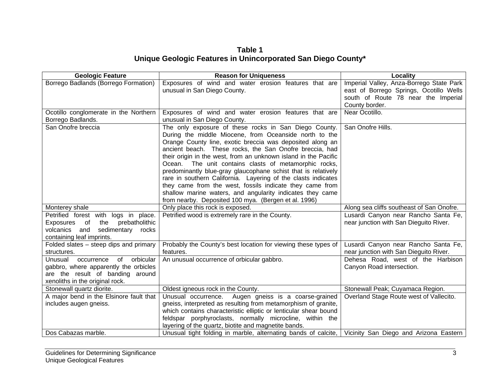**Table 1 Unique Geologic Features in Unincorporated San Diego County\*** 

| <b>Geologic Feature</b>                  | <b>Reason for Uniqueness</b>                                     | Locality                                  |
|------------------------------------------|------------------------------------------------------------------|-------------------------------------------|
| Borrego Badlands (Borrego Formation)     | Exposures of wind and water erosion features that are            | Imperial Valley, Anza-Borrego State Park  |
|                                          | unusual in San Diego County.                                     | east of Borrego Springs, Ocotillo Wells   |
|                                          |                                                                  | south of Route 78 near the Imperial       |
|                                          |                                                                  | County border.                            |
| Ocotillo conglomerate in the Northern    | Exposures of wind and water erosion features that are            | Near Ocotillo.                            |
| Borrego Badlands.                        | unusual in San Diego County.                                     |                                           |
| San Onofre breccia                       | The only exposure of these rocks in San Diego County.            | San Onofre Hills.                         |
|                                          | During the middle Miocene, from Oceanside north to the           |                                           |
|                                          | Orange County line, exotic breccia was deposited along an        |                                           |
|                                          | ancient beach. These rocks, the San Onofre breccia, had          |                                           |
|                                          | their origin in the west, from an unknown island in the Pacific  |                                           |
|                                          | Ocean. The unit contains clasts of metamorphic rocks,            |                                           |
|                                          | predominantly blue-gray glaucophane schist that is relatively    |                                           |
|                                          | rare in southern California. Layering of the clasts indicates    |                                           |
|                                          | they came from the west, fossils indicate they came from         |                                           |
|                                          | shallow marine waters, and angularity indicates they came        |                                           |
|                                          | from nearby. Deposited 100 mya. (Bergen et al. 1996)             |                                           |
| Monterey shale                           | Only place this rock is exposed.                                 | Along sea cliffs southeast of San Onofre. |
| Petrified forest with logs in place.     | Petrified wood is extremely rare in the County.                  | Lusardi Canyon near Rancho Santa Fe,      |
| the<br>prebatholithic<br>of<br>Exposures |                                                                  | near junction with San Dieguito River.    |
| and<br>sedimentary rocks<br>volcanics    |                                                                  |                                           |
| containing leaf imprints.                |                                                                  |                                           |
| Folded slates - steep dips and primary   | Probably the County's best location for viewing these types of   | Lusardi Canyon near Rancho Santa Fe,      |
| structures.                              | features.                                                        | near junction with San Dieguito River.    |
| orbicular<br>Unusual<br>occurrence<br>of | An unusual occurrence of orbicular gabbro.                       | Dehesa Road, west of the Harbison         |
| gabbro, where apparently the orbicles    |                                                                  | Canyon Road intersection.                 |
| are the result of banding around         |                                                                  |                                           |
| xenoliths in the original rock.          |                                                                  |                                           |
| Stonewall quartz diorite.                | Oldest igneous rock in the County.                               | Stonewall Peak; Cuyamaca Region.          |
| A major bend in the Elsinore fault that  | Unusual occurrence. Augen gneiss is a coarse-grained             | Overland Stage Route west of Vallecito.   |
| includes augen gneiss.                   | gneiss, interpreted as resulting from metamorphism of granite,   |                                           |
|                                          | which contains characteristic elliptic or lenticular shear bound |                                           |
|                                          | feldspar porphyroclasts, normally microcline, within the         |                                           |
|                                          | layering of the quartz, biotite and magnetite bands.             |                                           |
| Dos Cabazas marble.                      | Unusual tight folding in marble, alternating bands of calcite,   | Vicinity San Diego and Arizona Eastern    |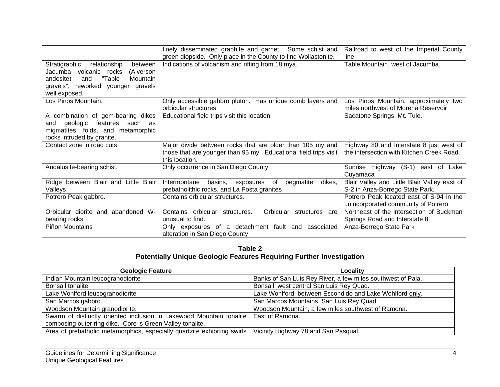|                                          | finely disseminated graphite and garnet. Some schist and         | Railroad to west of the Imperial County      |
|------------------------------------------|------------------------------------------------------------------|----------------------------------------------|
|                                          | green diopside. Only place in the County to find Wollastonite.   | line.                                        |
| Stratigraphic<br>relationship<br>between | Indications of volcanism and rifting from 18 mya.                | Table Mountain, west of Jacumba.             |
| Jacumba volcanic rocks<br>(Alverson      |                                                                  |                                              |
| "Table<br>Mountain<br>andesite)<br>and   |                                                                  |                                              |
| gravels"; reworked younger<br>gravels    |                                                                  |                                              |
| well exposed.                            |                                                                  |                                              |
| Los Pinos Mountain.                      | Only accessible gabbro pluton. Has unique comb layers and        | Los Pinos Mountain, approximately two        |
|                                          | orbicular structures.                                            | miles northwest of Morena Reservoir          |
| A combination of gem-bearing dikes       | Educational field trips visit this location.                     | Sacatone Springs, Mt. Tule.                  |
| geologic features<br>such<br>and<br>as   |                                                                  |                                              |
| migmatites, folds, and metamorphic       |                                                                  |                                              |
| rocks intruded by granite.               |                                                                  |                                              |
| Contact zone in road cuts                | Major divide between rocks that are older than 105 my and        | Highway 80 and Interstate 8 just west of     |
|                                          | those that are younger than 95 my. Educational field trips visit | the intersection with Kitchen Creek Road.    |
|                                          | this location.                                                   |                                              |
| Andalusite-bearing schist.               | Only occurrence in San Diego County.                             | Sunrise Highway (S-1) east of Lake           |
|                                          |                                                                  | Cuyamaca                                     |
| Ridge between Blair and Little Blair     | Intermontane<br>dikes,<br>basins, exposures of<br>pegmatite      | Blair Valley and Little Blair Valley east of |
| Valleys                                  | prebatholithic rocks, and La Posta granites                      | S-2 in Anza-Borrego State Park.              |
| Potrero Peak gabbro.                     | Contains orbicular structures.                                   | Potrero Peak located east of S-94 in the     |
|                                          |                                                                  | unincorporated community of Potrero          |
| Orbicular diorite and abandoned W-       | Contains orbicular<br>Orbicular structures<br>structures.<br>are | Northeast of the intersection of Buckman     |
| bearing rocks                            | unusual to find.                                                 | Springs Road and Interstate 8.               |
| Piñon Mountains                          | Only exposures of a detachment fault and<br>associated           | Anza-Borrego State Park                      |
|                                          | alteration in San Diego County                                   |                                              |

**Table 2 Potentially Unique Geologic Features Requiring Further Investigation** 

| <b>Geologic Feature</b>                                                                | Locality                                                    |
|----------------------------------------------------------------------------------------|-------------------------------------------------------------|
| Indian Mountain leucogranodiorite                                                      | Banks of San Luis Rey River, a few miles southwest of Pala. |
| <b>Bonsall tonalite</b>                                                                | Bonsall, west central San Luis Rey Quad.                    |
| Lake Wohlford leucogranodiorite                                                        | Lake Wohlford, between Escondido and Lake Wohlford only.    |
| San Marcos gabbro.                                                                     | San Marcos Mountains, San Luis Rey Quad.                    |
| Woodson Mountain granodiorite.                                                         | Woodson Mountain, a few miles southwest of Ramona.          |
| Swarm of distinctly oriented inclusion in Lakewood Mountain tonalite   East of Ramona. |                                                             |
| composing outer ring dike. Core is Green Valley tonalite.                              |                                                             |
| Area of prebatholic metamorphics, especially quartzite exhibiting swirls               | Vicinity Highway 78 and San Pasqual.                        |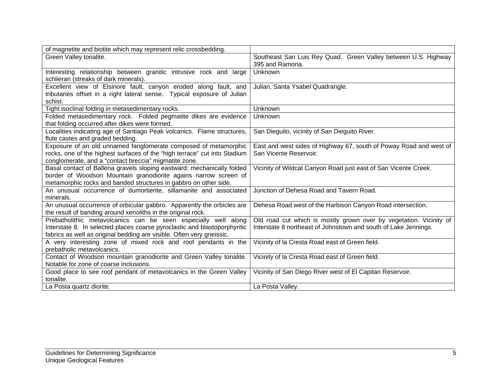| of magnetite and biotite which may represent relic crossbedding.                                                                                                                                                     |                                                                                                                                       |
|----------------------------------------------------------------------------------------------------------------------------------------------------------------------------------------------------------------------|---------------------------------------------------------------------------------------------------------------------------------------|
| Green Valley tonalite.                                                                                                                                                                                               | Southeast San Luis Rey Quad. Green Valley between U.S. Highway<br>395 and Ramona.                                                     |
| Interesting relationship between granitic intrusive rock and large<br>schlieran (streaks of dark minerals).                                                                                                          | Unknown                                                                                                                               |
| Excellent view of Elsinore fault, canyon eroded along fault, and<br>tributaries offset in a right lateral sense. Typical exposure of Julian<br>schist.                                                               | Julian, Santa Ysabel Quadrangle.                                                                                                      |
| Tight isoclinal folding in metasedimentary rocks.                                                                                                                                                                    | Unknown                                                                                                                               |
| Folded metasedimentary rock. Folded pegmatite dikes are evidence<br>that folding occurred after dikes were formed.                                                                                                   | Unknown                                                                                                                               |
| Localities indicating age of Santiago Peak volcanics. Flame structures,<br>flute castes and graded bedding.                                                                                                          | San Dieguito, vicinity of San Dieguito River.                                                                                         |
| Exposure of an old unnamed fanglomerate composed of metamorphic<br>rocks, one of the highest surfaces of the "high terrace" cut into Stadium<br>conglomerate, and a "contact breccia" migmatite zone.                | East and west sides of Highway 67, south of Poway Road and west of<br>San Vicente Reservoir.                                          |
| Basal contact of Ballena gravels sloping eastward; mechanically folded<br>border of Woodson Mountain granodiorite agains narrow screen of<br>metamorphic rocks and banded structures in gabbro on other side.        | Vicinity of Wildcat Canyon Road just east of San Vicente Creek.                                                                       |
| An unusual occurrence of dumortierite, sillamanite and associated<br>minerals.                                                                                                                                       | Junction of Dehesa Road and Tavern Road.                                                                                              |
| An unusual occurrence of orbicular gabbro. Apparently the orbicles are<br>the result of banding around xenoliths in the original rock.                                                                               | Dehesa Road west of the Harbison Canyon Road intersection.                                                                            |
| Prebatholithic metavolcanics can be seen especially well along<br>Interstate 8. In selected places coarse pyroclastic and blastoporphyritic<br>fabrics as well as original bedding are visible. Often very gneissic. | Old road cut which is mostly grown over by vegetation. Vicinity of<br>Interstate 8 northeast of Johnstown and south of Lake Jennings. |
| A very interesting zone of mixed rock and roof pendants in the<br>prebatholic metavolcanics.                                                                                                                         | Vicinity of la Cresta Road east of Green field.                                                                                       |
| Contact of Woodson mountain granodiorite and Green Valley tonalite.<br>Notable for zone of coarse inclusions.                                                                                                        | Vicinity of la Cresta Road east of Green field.                                                                                       |
| Good place to see roof pendant of metavolcanics in the Green Valley<br>tonalite.                                                                                                                                     | Vicinity of San Diego River west of El Capitan Reservoir.                                                                             |
| La Posta quartz diorite.                                                                                                                                                                                             | La Posta Valley.                                                                                                                      |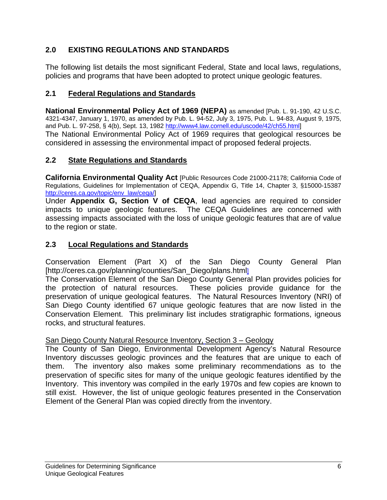# **2.0 EXISTING REGULATIONS AND STANDARDS**

The following list details the most significant Federal, State and local laws, regulations, policies and programs that have been adopted to protect unique geologic features.

# **2.1 Federal Regulations and Standards**

**National Environmental Policy Act of 1969 (NEPA)** as amended [Pub. L. 91-190, 42 U.S.C. 4321-4347, January 1, 1970, as amended by Pub. L. 94-52, July 3, 1975, Pub. L. 94-83, August 9, 1975, and Pub. L. 97-258, § 4(b), Sept. 13, 1982 http://www4.law.cornell.edu/uscode/42/ch55.html] The National Environmental Policy Act of 1969 requires that geological resources be considered in assessing the environmental impact of proposed federal projects.

# **2.2 State Regulations and Standards**

**California Environmental Quality Act** [Public Resources Code 21000-21178; California Code of Regulations, Guidelines for Implementation of CEQA, Appendix G, Title 14, Chapter 3, §15000-15387 http://ceres.ca.gov/topic/env\_law/ceqa/]

Under **Appendix G, Section V of CEQA**, lead agencies are required to consider impacts to unique geologic features. The CEQA Guidelines are concerned with assessing impacts associated with the loss of unique geologic features that are of value to the region or state.

# **2.3 Local Regulations and Standards**

Conservation Element (Part X) of the San Diego County General Plan [http://ceres.ca.gov/planning/counties/San\_Diego/plans.html]

The Conservation Element of the San Diego County General Plan provides policies for the protection of natural resources. These policies provide guidance for the preservation of unique geological features. The Natural Resources Inventory (NRI) of San Diego County identified 67 unique geologic features that are now listed in the Conservation Element. This preliminary list includes stratigraphic formations, igneous rocks, and structural features.

#### San Diego County Natural Resource Inventory, Section 3 – Geology

The County of San Diego, Environmental Development Agency's Natural Resource Inventory discusses geologic provinces and the features that are unique to each of them. The inventory also makes some preliminary recommendations as to the preservation of specific sites for many of the unique geologic features identified by the Inventory. This inventory was compiled in the early 1970s and few copies are known to still exist. However, the list of unique geologic features presented in the Conservation Element of the General Plan was copied directly from the inventory.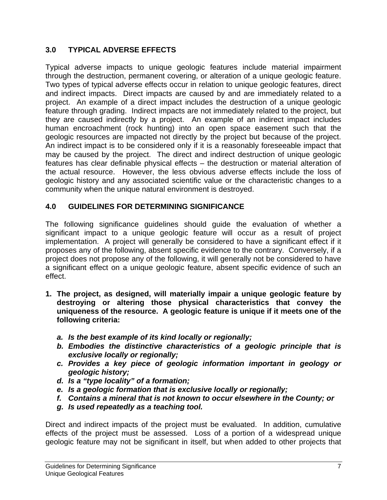# **3.0 TYPICAL ADVERSE EFFECTS**

Typical adverse impacts to unique geologic features include material impairment through the destruction, permanent covering, or alteration of a unique geologic feature. Two types of typical adverse effects occur in relation to unique geologic features, direct and indirect impacts. Direct impacts are caused by and are immediately related to a project. An example of a direct impact includes the destruction of a unique geologic feature through grading. Indirect impacts are not immediately related to the project, but they are caused indirectly by a project. An example of an indirect impact includes human encroachment (rock hunting) into an open space easement such that the geologic resources are impacted not directly by the project but because of the project. An indirect impact is to be considered only if it is a reasonably foreseeable impact that may be caused by the project. The direct and indirect destruction of unique geologic features has clear definable physical effects – the destruction or material alteration of the actual resource. However, the less obvious adverse effects include the loss of geologic history and any associated scientific value or the characteristic changes to a community when the unique natural environment is destroyed.

# **4.0 GUIDELINES FOR DETERMINING SIGNIFICANCE**

The following significance guidelines should guide the evaluation of whether a significant impact to a unique geologic feature will occur as a result of project implementation. A project will generally be considered to have a significant effect if it proposes any of the following, absent specific evidence to the contrary. Conversely, if a project does not propose any of the following, it will generally not be considered to have a significant effect on a unique geologic feature, absent specific evidence of such an effect.

- **1. The project, as designed, will materially impair a unique geologic feature by destroying or altering those physical characteristics that convey the uniqueness of the resource. A geologic feature is unique if it meets one of the following criteria:** 
	- *a. Is the best example of its kind locally or regionally;*
	- *b. Embodies the distinctive characteristics of a geologic principle that is exclusive locally or regionally;*
	- *c. Provides a key piece of geologic information important in geology or geologic history;*
	- *d. Is a "type locality" of a formation;*
	- *e. Is a geologic formation that is exclusive locally or regionally;*
	- *f. Contains a mineral that is not known to occur elsewhere in the County; or*
	- *g. Is used repeatedly as a teaching tool.*

Direct and indirect impacts of the project must be evaluated. In addition, cumulative effects of the project must be assessed. Loss of a portion of a widespread unique geologic feature may not be significant in itself, but when added to other projects that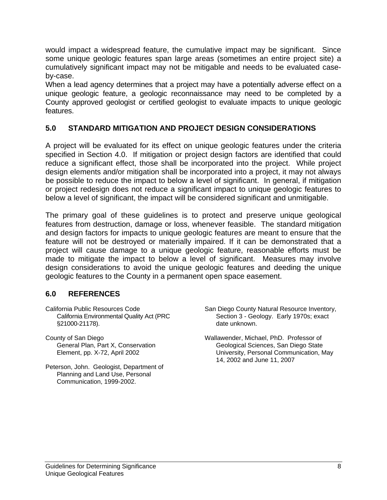would impact a widespread feature, the cumulative impact may be significant. Since some unique geologic features span large areas (sometimes an entire project site) a cumulatively significant impact may not be mitigable and needs to be evaluated caseby-case.

When a lead agency determines that a project may have a potentially adverse effect on a unique geologic feature, a geologic reconnaissance may need to be completed by a County approved geologist or certified geologist to evaluate impacts to unique geologic features.

## **5.0 STANDARD MITIGATION AND PROJECT DESIGN CONSIDERATIONS**

A project will be evaluated for its effect on unique geologic features under the criteria specified in Section 4.0. If mitigation or project design factors are identified that could reduce a significant effect, those shall be incorporated into the project. While project design elements and/or mitigation shall be incorporated into a project, it may not always be possible to reduce the impact to below a level of significant. In general, if mitigation or project redesign does not reduce a significant impact to unique geologic features to below a level of significant, the impact will be considered significant and unmitigable.

The primary goal of these guidelines is to protect and preserve unique geological features from destruction, damage or loss, whenever feasible. The standard mitigation and design factors for impacts to unique geologic features are meant to ensure that the feature will not be destroyed or materially impaired. If it can be demonstrated that a project will cause damage to a unique geologic feature, reasonable efforts must be made to mitigate the impact to below a level of significant. Measures may involve design considerations to avoid the unique geologic features and deeding the unique geologic features to the County in a permanent open space easement.

#### **6.0 REFERENCES**

- California Public Resources Code California Environmental Quality Act (PRC §21000-21178).
- County of San Diego General Plan, Part X, Conservation Element, pp. X-72, April 2002
- Peterson, John. Geologist, Department of Planning and Land Use, Personal Communication, 1999-2002.
- San Diego County Natural Resource Inventory, Section 3 - Geology. Early 1970s; exact date unknown.
- Wallawender, Michael, PhD. Professor of Geological Sciences, San Diego State University, Personal Communication, May 14, 2002 and June 11, 2007